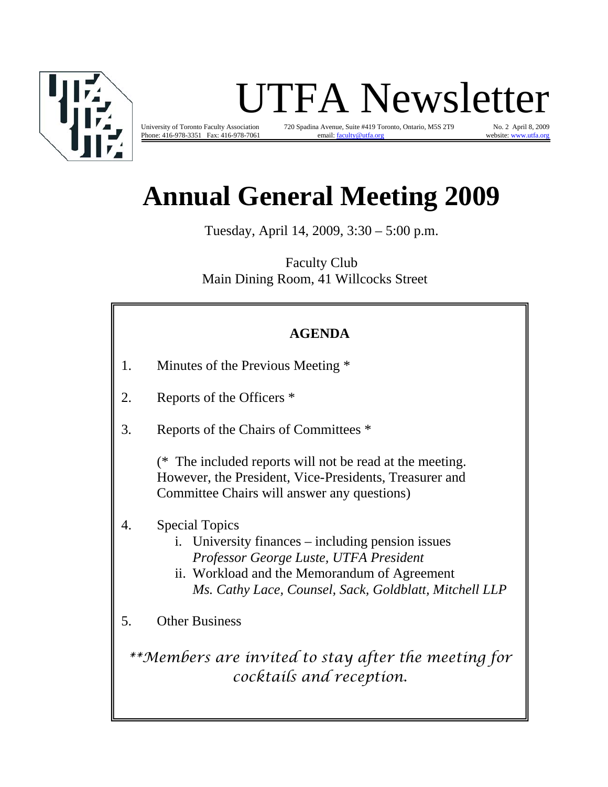

# UTFA Newsletter

University of Toronto Faculty Association 720 Spadina Avenue, Suite #419 Toronto, Ontario, M5S 2T9 No. 2 April 8, 2009 Phone: 416-978-3351 Fax: 416-978-7061 email: faculty@utfa.org website: www.utfa.org

# **Annual General Meeting 2009**

Tuesday, April 14, 2009, 3:30 – 5:00 p.m.

Faculty Club Main Dining Room, 41 Willcocks Street

## **AGENDA**

- 1. Minutes of the Previous Meeting \*
- 2. Reports of the Officers \*
- 3. Reports of the Chairs of Committees \*

(\* The included reports will not be read at the meeting. However, the President, Vice-Presidents, Treasurer and Committee Chairs will answer any questions)

- 4. Special Topics
	- i. University finances including pension issues *Professor George Luste, UTFA President*
	- ii. Workload and the Memorandum of Agreement *Ms. Cathy Lace, Counsel, Sack, Goldblatt, Mitchell LLP*

5. Other Business

*\*\*Members are invited to stay after the meeting for cocktails and reception.*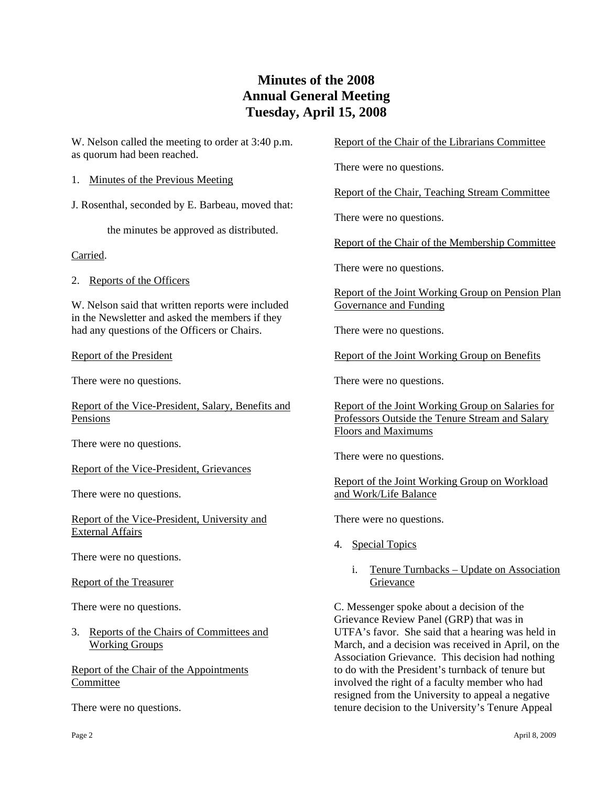## **Minutes of the 2008 Annual General Meeting Tuesday, April 15, 2008**

W. Nelson called the meeting to order at 3:40 p.m. as quorum had been reached.

1. Minutes of the Previous Meeting

J. Rosenthal, seconded by E. Barbeau, moved that:

the minutes be approved as distributed.

Carried.

2. Reports of the Officers

W. Nelson said that written reports were included in the Newsletter and asked the members if they had any questions of the Officers or Chairs.

#### Report of the President

There were no questions.

Report of the Vice-President, Salary, Benefits and Pensions

There were no questions.

Report of the Vice-President, Grievances

There were no questions.

Report of the Vice-President, University and External Affairs

There were no questions.

Report of the Treasurer

There were no questions.

3. Reports of the Chairs of Committees and Working Groups

Report of the Chair of the Appointments Committee

There were no questions.

#### Report of the Chair of the Librarians Committee

There were no questions.

Report of the Chair, Teaching Stream Committee

There were no questions.

Report of the Chair of the Membership Committee

There were no questions.

Report of the Joint Working Group on Pension Plan Governance and Funding

There were no questions.

Report of the Joint Working Group on Benefits

There were no questions.

Report of the Joint Working Group on Salaries for Professors Outside the Tenure Stream and Salary Floors and Maximums

There were no questions.

Report of the Joint Working Group on Workload and Work/Life Balance

There were no questions.

- 4. Special Topics
	- i. Tenure Turnbacks Update on Association Grievance

C. Messenger spoke about a decision of the Grievance Review Panel (GRP) that was in UTFA's favor. She said that a hearing was held in March, and a decision was received in April, on the Association Grievance. This decision had nothing to do with the President's turnback of tenure but involved the right of a faculty member who had resigned from the University to appeal a negative tenure decision to the University's Tenure Appeal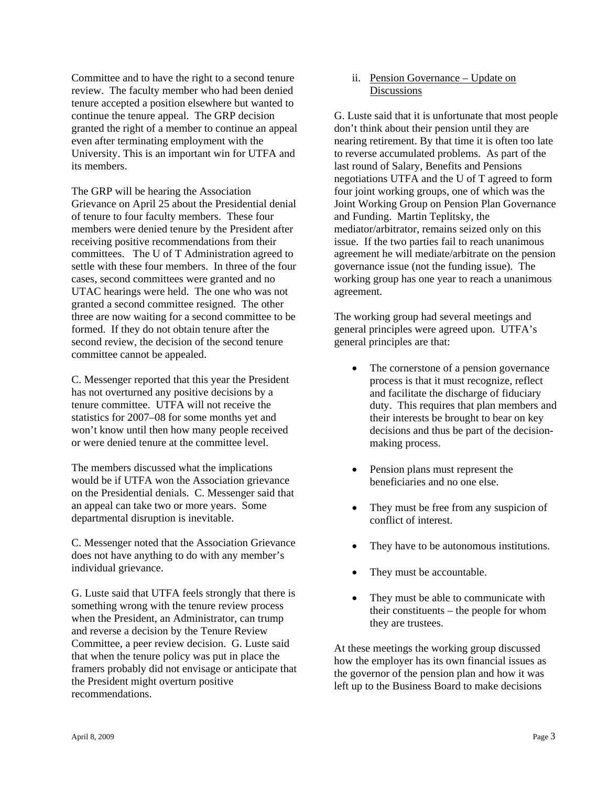Committee and to have the right to a second tenure review. The faculty member who had been denied tenure accepted a position elsewhere but wanted to continue the tenure appeal. The GRP decision granted the right of a member to continue an appeal even after terminating employment with the University. This is an important win for UTFA and its members.

The GRP will be hearing the Association Grievance on April 25 about the Presidential denial of tenure to four faculty members. These four members were denied tenure by the President after receiving positive recommendations from their committees. The U of T Administration agreed to settle with these four members. In three of the four cases, second committees were granted and no UTAC hearings were held. The one who was not granted a second committee resigned. The other three are now waiting for a second committee to be formed. If they do not obtain tenure after the second review, the decision of the second tenure committee cannot be appealed.

C. Messenger reported that this year the President has not overturned any positive decisions by a tenure committee. UTFA will not receive the statistics for 2007–08 for some months yet and won't know until then how many people received or were denied tenure at the committee level.

The members discussed what the implications would be if UTFA won the Association grievance on the Presidential denials. C. Messenger said that an appeal can take two or more years. Some departmental disruption is inevitable.

C. Messenger noted that the Association Grievance does not have anything to do with any member's individual grievance.

G. Luste said that UTFA feels strongly that there is something wrong with the tenure review process when the President, an Administrator, can trump and reverse a decision by the Tenure Review Committee, a peer review decision. G. Luste said that when the tenure policy was put in place the framers probably did not envisage or anticipate that the President might overturn positive recommendations.

 ii. Pension Governance – Update on **Discussions** 

G. Luste said that it is unfortunate that most people don't think about their pension until they are nearing retirement. By that time it is often too late to reverse accumulated problems. As part of the last round of Salary, Benefits and Pensions negotiations UTFA and the U of T agreed to form four joint working groups, one of which was the Joint Working Group on Pension Plan Governance and Funding. Martin Teplitsky, the mediator/arbitrator, remains seized only on this issue. If the two parties fail to reach unanimous agreement he will mediate/arbitrate on the pension governance issue (not the funding issue). The working group has one year to reach a unanimous agreement.

The working group had several meetings and general principles were agreed upon. UTFA's general principles are that:

- The cornerstone of a pension governance process is that it must recognize, reflect and facilitate the discharge of fiduciary duty. This requires that plan members and their interests be brought to bear on key decisions and thus be part of the decisionmaking process.
- Pension plans must represent the beneficiaries and no one else.
- They must be free from any suspicion of conflict of interest.
- They have to be autonomous institutions.
- They must be accountable.
- They must be able to communicate with their constituents – the people for whom they are trustees.

At these meetings the working group discussed how the employer has its own financial issues as the governor of the pension plan and how it was left up to the Business Board to make decisions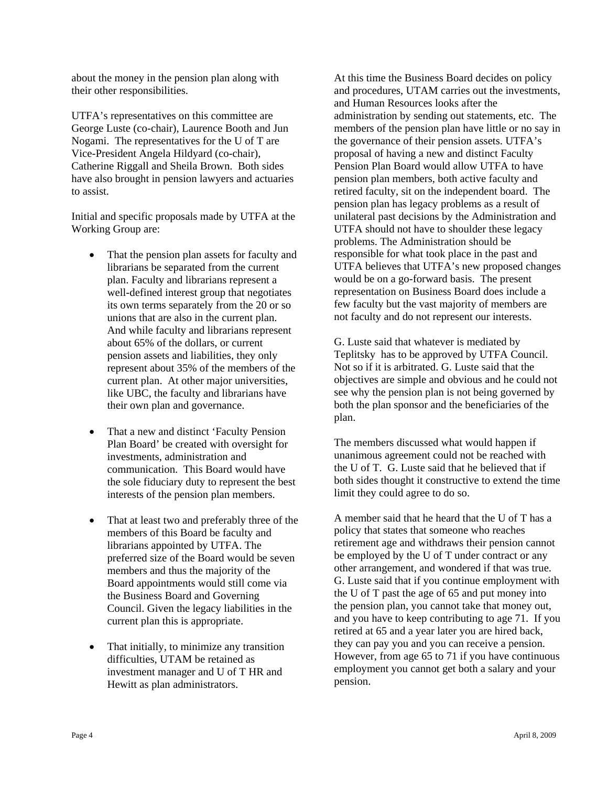about the money in the pension plan along with their other responsibilities.

UTFA's representatives on this committee are George Luste (co-chair), Laurence Booth and Jun Nogami. The representatives for the U of T are Vice-President Angela Hildyard (co-chair), Catherine Riggall and Sheila Brown. Both sides have also brought in pension lawyers and actuaries to assist.

Initial and specific proposals made by UTFA at the Working Group are:

- That the pension plan assets for faculty and librarians be separated from the current plan. Faculty and librarians represent a well-defined interest group that negotiates its own terms separately from the 20 or so unions that are also in the current plan. And while faculty and librarians represent about 65% of the dollars, or current pension assets and liabilities, they only represent about 35% of the members of the current plan. At other major universities, like UBC, the faculty and librarians have their own plan and governance.
- That a new and distinct 'Faculty Pension Plan Board' be created with oversight for investments, administration and communication. This Board would have the sole fiduciary duty to represent the best interests of the pension plan members.
- That at least two and preferably three of the members of this Board be faculty and librarians appointed by UTFA. The preferred size of the Board would be seven members and thus the majority of the Board appointments would still come via the Business Board and Governing Council. Given the legacy liabilities in the current plan this is appropriate.
- That initially, to minimize any transition difficulties, UTAM be retained as investment manager and U of T HR and Hewitt as plan administrators.

At this time the Business Board decides on policy and procedures, UTAM carries out the investments, and Human Resources looks after the administration by sending out statements, etc. The members of the pension plan have little or no say in the governance of their pension assets. UTFA's proposal of having a new and distinct Faculty Pension Plan Board would allow UTFA to have pension plan members, both active faculty and retired faculty, sit on the independent board. The pension plan has legacy problems as a result of unilateral past decisions by the Administration and UTFA should not have to shoulder these legacy problems. The Administration should be responsible for what took place in the past and UTFA believes that UTFA's new proposed changes would be on a go-forward basis. The present representation on Business Board does include a few faculty but the vast majority of members are not faculty and do not represent our interests.

G. Luste said that whatever is mediated by Teplitsky has to be approved by UTFA Council. Not so if it is arbitrated. G. Luste said that the objectives are simple and obvious and he could not see why the pension plan is not being governed by both the plan sponsor and the beneficiaries of the plan.

The members discussed what would happen if unanimous agreement could not be reached with the U of T. G. Luste said that he believed that if both sides thought it constructive to extend the time limit they could agree to do so.

A member said that he heard that the U of T has a policy that states that someone who reaches retirement age and withdraws their pension cannot be employed by the U of T under contract or any other arrangement, and wondered if that was true. G. Luste said that if you continue employment with the U of T past the age of 65 and put money into the pension plan, you cannot take that money out, and you have to keep contributing to age 71. If you retired at 65 and a year later you are hired back, they can pay you and you can receive a pension. However, from age 65 to 71 if you have continuous employment you cannot get both a salary and your pension.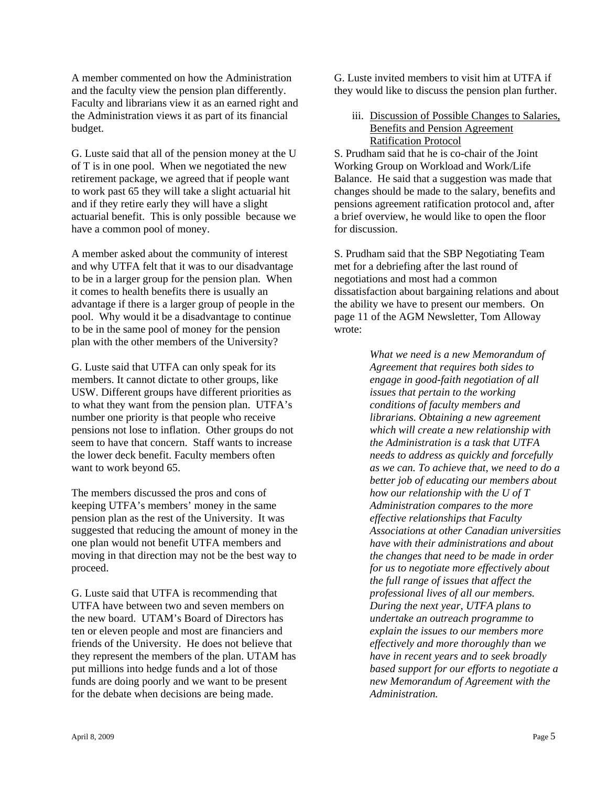A member commented on how the Administration and the faculty view the pension plan differently. Faculty and librarians view it as an earned right and the Administration views it as part of its financial budget.

G. Luste said that all of the pension money at the U of T is in one pool. When we negotiated the new retirement package, we agreed that if people want to work past 65 they will take a slight actuarial hit and if they retire early they will have a slight actuarial benefit. This is only possible because we have a common pool of money.

A member asked about the community of interest and why UTFA felt that it was to our disadvantage to be in a larger group for the pension plan. When it comes to health benefits there is usually an advantage if there is a larger group of people in the pool. Why would it be a disadvantage to continue to be in the same pool of money for the pension plan with the other members of the University?

G. Luste said that UTFA can only speak for its members. It cannot dictate to other groups, like USW. Different groups have different priorities as to what they want from the pension plan. UTFA's number one priority is that people who receive pensions not lose to inflation. Other groups do not seem to have that concern. Staff wants to increase the lower deck benefit. Faculty members often want to work beyond 65.

The members discussed the pros and cons of keeping UTFA's members' money in the same pension plan as the rest of the University. It was suggested that reducing the amount of money in the one plan would not benefit UTFA members and moving in that direction may not be the best way to proceed.

G. Luste said that UTFA is recommending that UTFA have between two and seven members on the new board. UTAM's Board of Directors has ten or eleven people and most are financiers and friends of the University. He does not believe that they represent the members of the plan. UTAM has put millions into hedge funds and a lot of those funds are doing poorly and we want to be present for the debate when decisions are being made.

G. Luste invited members to visit him at UTFA if they would like to discuss the pension plan further.

#### iii. Discussion of Possible Changes to Salaries, Benefits and Pension Agreement Ratification Protocol

S. Prudham said that he is co-chair of the Joint Working Group on Workload and Work/Life Balance. He said that a suggestion was made that changes should be made to the salary, benefits and pensions agreement ratification protocol and, after a brief overview, he would like to open the floor for discussion.

S. Prudham said that the SBP Negotiating Team met for a debriefing after the last round of negotiations and most had a common dissatisfaction about bargaining relations and about the ability we have to present our members. On page 11 of the AGM Newsletter, Tom Alloway wrote:

> *What we need is a new Memorandum of Agreement that requires both sides to engage in good-faith negotiation of all issues that pertain to the working conditions of faculty members and librarians. Obtaining a new agreement which will create a new relationship with the Administration is a task that UTFA needs to address as quickly and forcefully as we can. To achieve that, we need to do a better job of educating our members about how our relationship with the U of T Administration compares to the more effective relationships that Faculty Associations at other Canadian universities have with their administrations and about the changes that need to be made in order for us to negotiate more effectively about the full range of issues that affect the professional lives of all our members. During the next year, UTFA plans to undertake an outreach programme to explain the issues to our members more effectively and more thoroughly than we have in recent years and to seek broadly based support for our efforts to negotiate a new Memorandum of Agreement with the Administration.*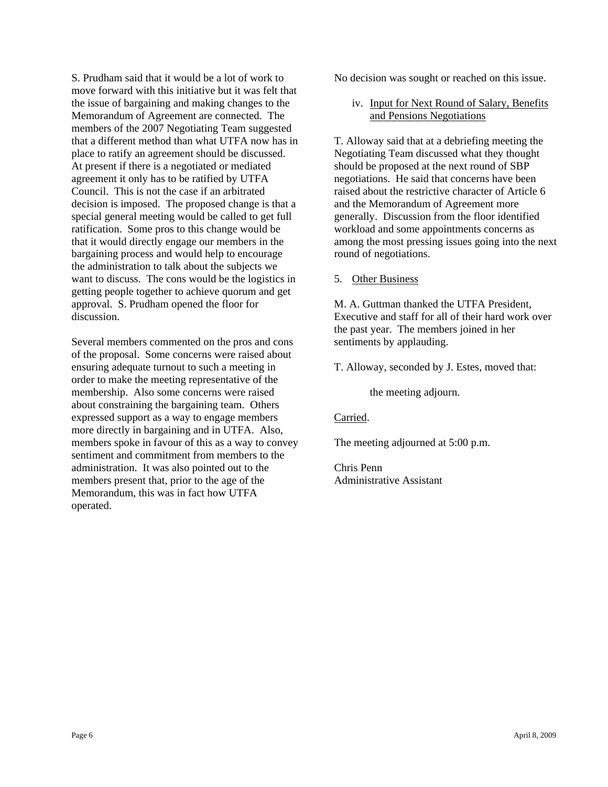S. Prudham said that it would be a lot of work to move forward with this initiative but it was felt that the issue of bargaining and making changes to the Memorandum of Agreement are connected. The members of the 2007 Negotiating Team suggested that a different method than what UTFA now has in place to ratify an agreement should be discussed. At present if there is a negotiated or mediated agreement it only has to be ratified by UTFA Council. This is not the case if an arbitrated decision is imposed. The proposed change is that a special general meeting would be called to get full ratification. Some pros to this change would be that it would directly engage our members in the bargaining process and would help to encourage the administration to talk about the subjects we want to discuss. The cons would be the logistics in getting people together to achieve quorum and get approval. S. Prudham opened the floor for discussion.

Several members commented on the pros and cons of the proposal. Some concerns were raised about ensuring adequate turnout to such a meeting in order to make the meeting representative of the membership. Also some concerns were raised about constraining the bargaining team. Others expressed support as a way to engage members more directly in bargaining and in UTFA. Also, members spoke in favour of this as a way to convey sentiment and commitment from members to the administration. It was also pointed out to the members present that, prior to the age of the Memorandum, this was in fact how UTFA operated.

No decision was sought or reached on this issue.

 iv. Input for Next Round of Salary, Benefits and Pensions Negotiations

T. Alloway said that at a debriefing meeting the Negotiating Team discussed what they thought should be proposed at the next round of SBP negotiations. He said that concerns have been raised about the restrictive character of Article 6 and the Memorandum of Agreement more generally. Discussion from the floor identified workload and some appointments concerns as among the most pressing issues going into the next round of negotiations.

5. Other Business

M. A. Guttman thanked the UTFA President, Executive and staff for all of their hard work over the past year. The members joined in her sentiments by applauding.

T. Alloway, seconded by J. Estes, moved that:

the meeting adjourn.

Carried.

The meeting adjourned at 5:00 p.m.

Chris Penn Administrative Assistant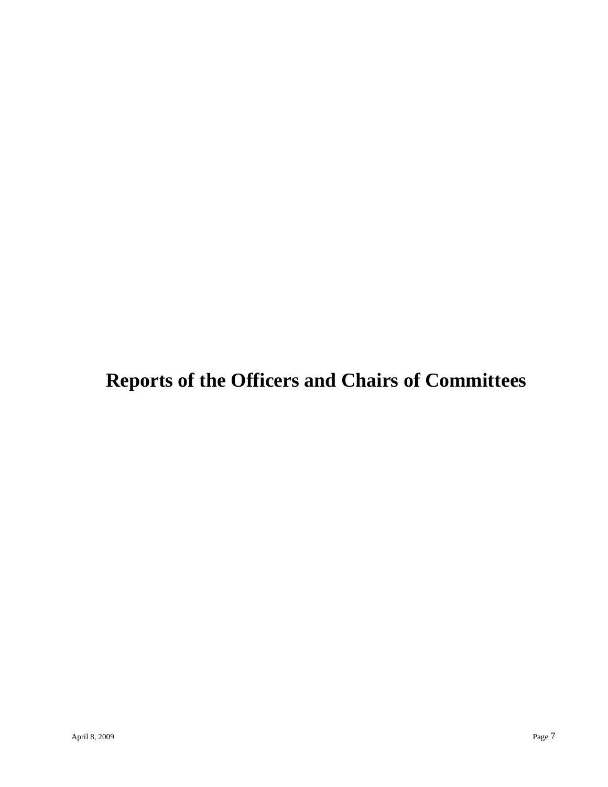# **Reports of the Officers and Chairs of Committees**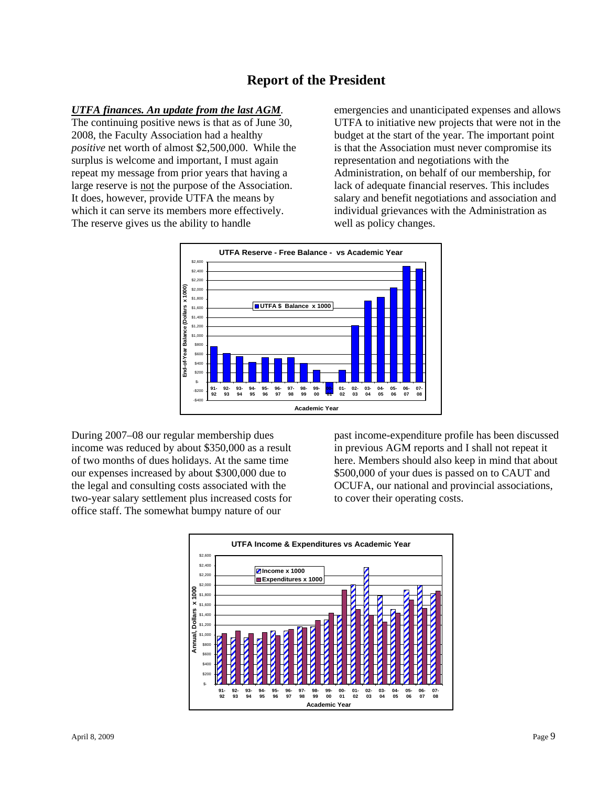## **Report of the President**

#### *UTFA finances. An update from the last AGM.*

The continuing positive news is that as of June 30, 2008, the Faculty Association had a healthy *positive* net worth of almost \$2,500,000. While the surplus is welcome and important, I must again repeat my message from prior years that having a large reserve is not the purpose of the Association. It does, however, provide UTFA the means by which it can serve its members more effectively. The reserve gives us the ability to handle

emergencies and unanticipated expenses and allows UTFA to initiative new projects that were not in the budget at the start of the year. The important point is that the Association must never compromise its representation and negotiations with the Administration, on behalf of our membership, for lack of adequate financial reserves. This includes salary and benefit negotiations and association and individual grievances with the Administration as well as policy changes.



During 2007–08 our regular membership dues income was reduced by about \$350,000 as a result of two months of dues holidays. At the same time our expenses increased by about \$300,000 due to the legal and consulting costs associated with the two-year salary settlement plus increased costs for office staff. The somewhat bumpy nature of our

past income-expenditure profile has been discussed in previous AGM reports and I shall not repeat it here. Members should also keep in mind that about \$500,000 of your dues is passed on to CAUT and OCUFA, our national and provincial associations, to cover their operating costs.

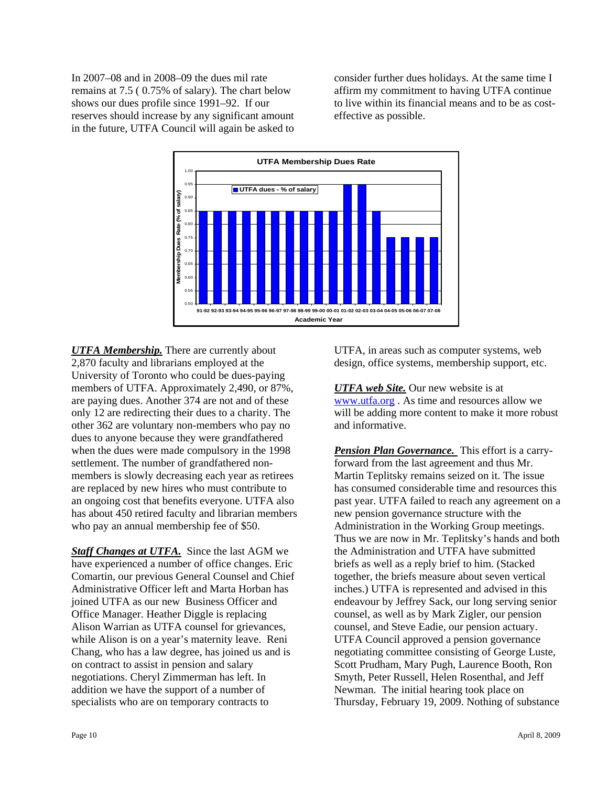In 2007–08 and in 2008–09 the dues mil rate remains at 7.5 ( 0.75% of salary). The chart below shows our dues profile since 1991–92. If our reserves should increase by any significant amount in the future, UTFA Council will again be asked to consider further dues holidays. At the same time I affirm my commitment to having UTFA continue to live within its financial means and to be as costeffective as possible.



*UTFA Membership.* There are currently about 2,870 faculty and librarians employed at the University of Toronto who could be dues-paying members of UTFA. Approximately 2,490, or 87%, are paying dues. Another 374 are not and of these only 12 are redirecting their dues to a charity. The other 362 are voluntary non-members who pay no dues to anyone because they were grandfathered when the dues were made compulsory in the 1998 settlement. The number of grandfathered nonmembers is slowly decreasing each year as retirees are replaced by new hires who must contribute to an ongoing cost that benefits everyone. UTFA also has about 450 retired faculty and librarian members who pay an annual membership fee of \$50.

**Staff Changes at UTFA.** Since the last AGM we have experienced a number of office changes. Eric Comartin, our previous General Counsel and Chief Administrative Officer left and Marta Horban has joined UTFA as our new Business Officer and Office Manager. Heather Diggle is replacing Alison Warrian as UTFA counsel for grievances, while Alison is on a year's maternity leave. Reni Chang, who has a law degree, has joined us and is on contract to assist in pension and salary negotiations. Cheryl Zimmerman has left. In addition we have the support of a number of specialists who are on temporary contracts to

UTFA, in areas such as computer systems, web design, office systems, membership support, etc.

*UTFA web Site.* Our new website is at www.utfa.org . As time and resources allow we will be adding more content to make it more robust and informative.

*Pension Plan Governance.* This effort is a carryforward from the last agreement and thus Mr. Martin Teplitsky remains seized on it. The issue has consumed considerable time and resources this past year. UTFA failed to reach any agreement on a new pension governance structure with the Administration in the Working Group meetings. Thus we are now in Mr. Teplitsky's hands and both the Administration and UTFA have submitted briefs as well as a reply brief to him. (Stacked together, the briefs measure about seven vertical inches.) UTFA is represented and advised in this endeavour by Jeffrey Sack, our long serving senior counsel, as well as by Mark Zigler, our pension counsel, and Steve Eadie, our pension actuary. UTFA Council approved a pension governance negotiating committee consisting of George Luste, Scott Prudham, Mary Pugh, Laurence Booth, Ron Smyth, Peter Russell, Helen Rosenthal, and Jeff Newman. The initial hearing took place on Thursday, February 19, 2009. Nothing of substance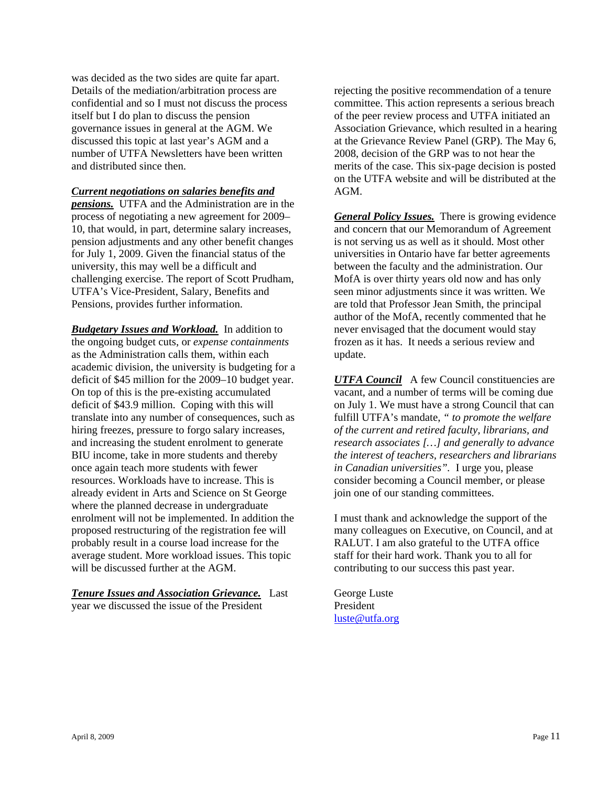was decided as the two sides are quite far apart. Details of the mediation/arbitration process are confidential and so I must not discuss the process itself but I do plan to discuss the pension governance issues in general at the AGM. We discussed this topic at last year's AGM and a number of UTFA Newsletters have been written and distributed since then.

#### *Current negotiations on salaries benefits and*

*pensions.* UTFA and the Administration are in the process of negotiating a new agreement for 2009– 10, that would, in part, determine salary increases, pension adjustments and any other benefit changes for July 1, 2009. Given the financial status of the university, this may well be a difficult and challenging exercise. The report of Scott Prudham, UTFA's Vice-President, Salary, Benefits and Pensions, provides further information.

*Budgetary Issues and Workload.* In addition to the ongoing budget cuts, or *expense containments* as the Administration calls them, within each academic division, the university is budgeting for a deficit of \$45 million for the 2009–10 budget year. On top of this is the pre-existing accumulated deficit of \$43.9 million. Coping with this will translate into any number of consequences, such as hiring freezes, pressure to forgo salary increases, and increasing the student enrolment to generate BIU income, take in more students and thereby once again teach more students with fewer resources. Workloads have to increase. This is already evident in Arts and Science on St George where the planned decrease in undergraduate enrolment will not be implemented. In addition the proposed restructuring of the registration fee will probably result in a course load increase for the average student. More workload issues. This topic will be discussed further at the AGM.

*Tenure Issues and Association Grievance.* Last year we discussed the issue of the President

rejecting the positive recommendation of a tenure committee. This action represents a serious breach of the peer review process and UTFA initiated an Association Grievance, which resulted in a hearing at the Grievance Review Panel (GRP). The May 6, 2008, decision of the GRP was to not hear the merits of the case. This six-page decision is posted on the UTFA website and will be distributed at the AGM.

*General Policy Issues.* There is growing evidence and concern that our Memorandum of Agreement is not serving us as well as it should. Most other universities in Ontario have far better agreements between the faculty and the administration. Our MofA is over thirty years old now and has only seen minor adjustments since it was written. We are told that Professor Jean Smith, the principal author of the MofA, recently commented that he never envisaged that the document would stay frozen as it has. It needs a serious review and update.

*UTFA Council* A few Council constituencies are vacant, and a number of terms will be coming due on July 1. We must have a strong Council that can fulfill UTFA's mandate, *" to promote the welfare of the current and retired faculty, librarians, and research associates […] and generally to advance the interest of teachers, researchers and librarians in Canadian universities".* I urge you, please consider becoming a Council member, or please join one of our standing committees.

I must thank and acknowledge the support of the many colleagues on Executive, on Council, and at RALUT. I am also grateful to the UTFA office staff for their hard work. Thank you to all for contributing to our success this past year.

George Luste President luste@utfa.org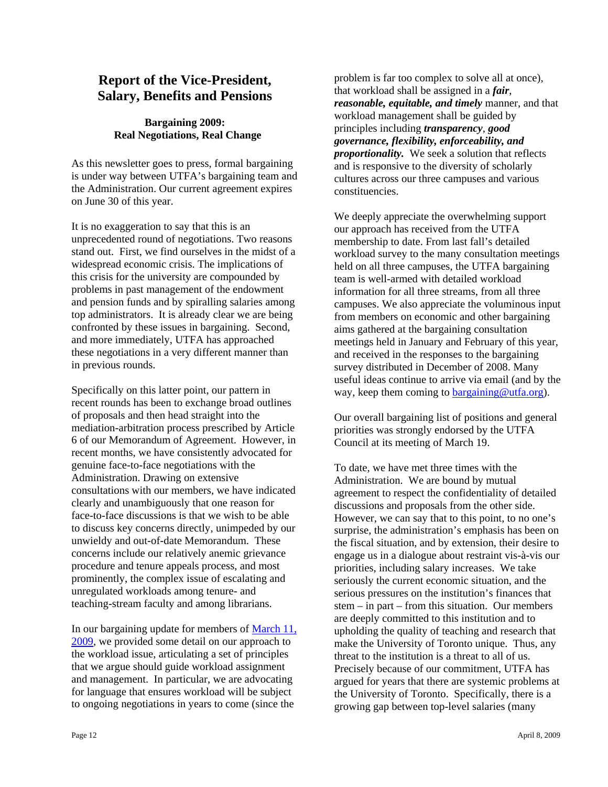## **Report of the Vice-President, Salary, Benefits and Pensions**

## **Bargaining 2009: Real Negotiations, Real Change**

As this newsletter goes to press, formal bargaining is under way between UTFA's bargaining team and the Administration. Our current agreement expires on June 30 of this year.

It is no exaggeration to say that this is an unprecedented round of negotiations. Two reasons stand out. First, we find ourselves in the midst of a widespread economic crisis. The implications of this crisis for the university are compounded by problems in past management of the endowment and pension funds and by spiralling salaries among top administrators. It is already clear we are being confronted by these issues in bargaining. Second, and more immediately, UTFA has approached these negotiations in a very different manner than in previous rounds.

Specifically on this latter point, our pattern in recent rounds has been to exchange broad outlines of proposals and then head straight into the mediation-arbitration process prescribed by Article 6 of our Memorandum of Agreement. However, in recent months, we have consistently advocated for genuine face-to-face negotiations with the Administration. Drawing on extensive consultations with our members, we have indicated clearly and unambiguously that one reason for face-to-face discussions is that we wish to be able to discuss key concerns directly, unimpeded by our unwieldy and out-of-date Memorandum. These concerns include our relatively anemic grievance procedure and tenure appeals process, and most prominently, the complex issue of escalating and unregulated workloads among tenure- and teaching-stream faculty and among librarians.

In our bargaining update for members of March 11, 2009, we provided some detail on our approach to the workload issue, articulating a set of principles that we argue should guide workload assignment and management. In particular, we are advocating for language that ensures workload will be subject to ongoing negotiations in years to come (since the

problem is far too complex to solve all at once), that workload shall be assigned in a *fair*, *reasonable, equitable, and timely* manner, and that workload management shall be guided by principles including *transparency*, *good governance, flexibility, enforceability, and proportionality.* We seek a solution that reflects and is responsive to the diversity of scholarly cultures across our three campuses and various constituencies.

We deeply appreciate the overwhelming support our approach has received from the UTFA membership to date. From last fall's detailed workload survey to the many consultation meetings held on all three campuses, the UTFA bargaining team is well-armed with detailed workload information for all three streams, from all three campuses. We also appreciate the voluminous input from members on economic and other bargaining aims gathered at the bargaining consultation meetings held in January and February of this year, and received in the responses to the bargaining survey distributed in December of 2008. Many useful ideas continue to arrive via email (and by the way, keep them coming to **bargaining@utfa.org**).

Our overall bargaining list of positions and general priorities was strongly endorsed by the UTFA Council at its meeting of March 19.

To date, we have met three times with the Administration. We are bound by mutual agreement to respect the confidentiality of detailed discussions and proposals from the other side. However, we can say that to this point, to no one's surprise, the administration's emphasis has been on the fiscal situation, and by extension, their desire to engage us in a dialogue about restraint vis-à-vis our priorities, including salary increases. We take seriously the current economic situation, and the serious pressures on the institution's finances that stem – in part – from this situation. Our members are deeply committed to this institution and to upholding the quality of teaching and research that make the University of Toronto unique. Thus, any threat to the institution is a threat to all of us. Precisely because of our commitment, UTFA has argued for years that there are systemic problems at the University of Toronto. Specifically, there is a growing gap between top-level salaries (many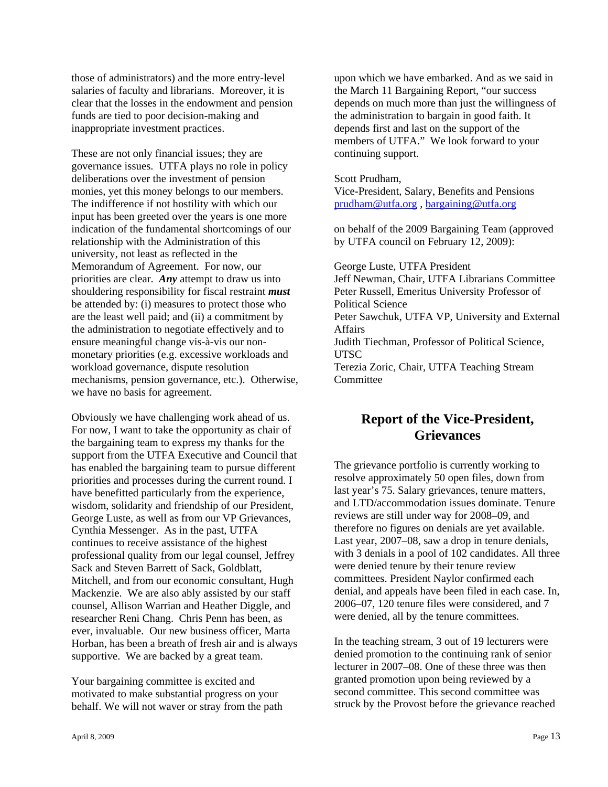those of administrators) and the more entry-level salaries of faculty and librarians. Moreover, it is clear that the losses in the endowment and pension funds are tied to poor decision-making and inappropriate investment practices.

These are not only financial issues; they are governance issues. UTFA plays no role in policy deliberations over the investment of pension monies, yet this money belongs to our members. The indifference if not hostility with which our input has been greeted over the years is one more indication of the fundamental shortcomings of our relationship with the Administration of this university, not least as reflected in the Memorandum of Agreement. For now, our priorities are clear. *Any* attempt to draw us into shouldering responsibility for fiscal restraint *must* be attended by: (i) measures to protect those who are the least well paid; and (ii) a commitment by the administration to negotiate effectively and to ensure meaningful change vis-à-vis our nonmonetary priorities (e.g. excessive workloads and workload governance, dispute resolution mechanisms, pension governance, etc.). Otherwise, we have no basis for agreement.

Obviously we have challenging work ahead of us. For now, I want to take the opportunity as chair of the bargaining team to express my thanks for the support from the UTFA Executive and Council that has enabled the bargaining team to pursue different priorities and processes during the current round. I have benefitted particularly from the experience, wisdom, solidarity and friendship of our President, George Luste, as well as from our VP Grievances, Cynthia Messenger. As in the past, UTFA continues to receive assistance of the highest professional quality from our legal counsel, Jeffrey Sack and Steven Barrett of Sack, Goldblatt, Mitchell, and from our economic consultant, Hugh Mackenzie. We are also ably assisted by our staff counsel, Allison Warrian and Heather Diggle, and researcher Reni Chang. Chris Penn has been, as ever, invaluable. Our new business officer, Marta Horban, has been a breath of fresh air and is always supportive. We are backed by a great team.

Your bargaining committee is excited and motivated to make substantial progress on your behalf. We will not waver or stray from the path upon which we have embarked. And as we said in the March 11 Bargaining Report, "our success depends on much more than just the willingness of the administration to bargain in good faith. It depends first and last on the support of the members of UTFA." We look forward to your continuing support.

#### Scott Prudham,

Vice-President, Salary, Benefits and Pensions prudham@utfa.org , bargaining@utfa.org

on behalf of the 2009 Bargaining Team (approved by UTFA council on February 12, 2009):

George Luste, UTFA President Jeff Newman, Chair, UTFA Librarians Committee Peter Russell, Emeritus University Professor of Political Science Peter Sawchuk, UTFA VP, University and External Affairs Judith Tiechman, Professor of Political Science, UTSC Terezia Zoric, Chair, UTFA Teaching Stream **Committee** 

## **Report of the Vice-President, Grievances**

The grievance portfolio is currently working to resolve approximately 50 open files, down from last year's 75. Salary grievances, tenure matters, and LTD/accommodation issues dominate. Tenure reviews are still under way for 2008–09, and therefore no figures on denials are yet available. Last year, 2007–08, saw a drop in tenure denials, with 3 denials in a pool of 102 candidates. All three were denied tenure by their tenure review committees. President Naylor confirmed each denial, and appeals have been filed in each case. In, 2006–07, 120 tenure files were considered, and 7 were denied, all by the tenure committees.

In the teaching stream, 3 out of 19 lecturers were denied promotion to the continuing rank of senior lecturer in 2007–08. One of these three was then granted promotion upon being reviewed by a second committee. This second committee was struck by the Provost before the grievance reached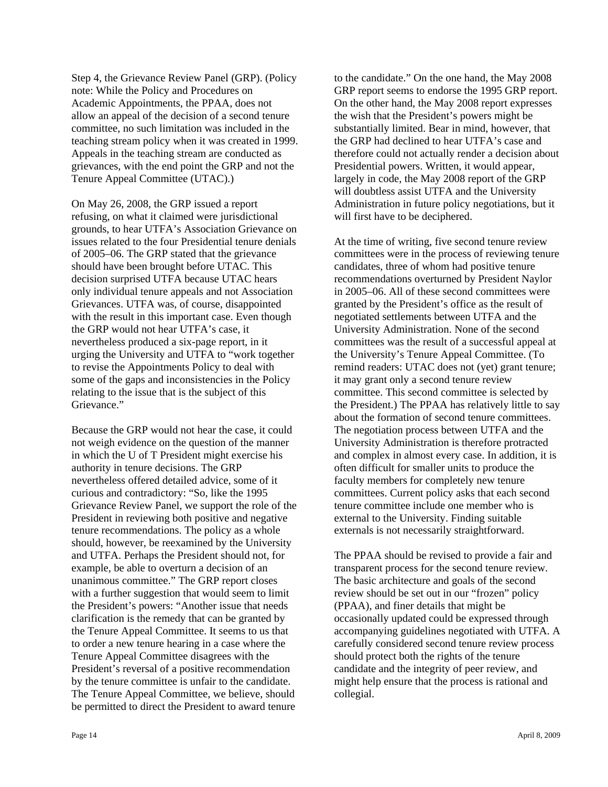Step 4, the Grievance Review Panel (GRP). (Policy note: While the Policy and Procedures on Academic Appointments, the PPAA, does not allow an appeal of the decision of a second tenure committee, no such limitation was included in the teaching stream policy when it was created in 1999. Appeals in the teaching stream are conducted as grievances, with the end point the GRP and not the Tenure Appeal Committee (UTAC).)

On May 26, 2008, the GRP issued a report refusing, on what it claimed were jurisdictional grounds, to hear UTFA's Association Grievance on issues related to the four Presidential tenure denials of 2005–06. The GRP stated that the grievance should have been brought before UTAC. This decision surprised UTFA because UTAC hears only individual tenure appeals and not Association Grievances. UTFA was, of course, disappointed with the result in this important case. Even though the GRP would not hear UTFA's case, it nevertheless produced a six-page report, in it urging the University and UTFA to "work together to revise the Appointments Policy to deal with some of the gaps and inconsistencies in the Policy relating to the issue that is the subject of this Grievance."

Because the GRP would not hear the case, it could not weigh evidence on the question of the manner in which the U of T President might exercise his authority in tenure decisions. The GRP nevertheless offered detailed advice, some of it curious and contradictory: "So, like the 1995 Grievance Review Panel, we support the role of the President in reviewing both positive and negative tenure recommendations. The policy as a whole should, however, be reexamined by the University and UTFA. Perhaps the President should not, for example, be able to overturn a decision of an unanimous committee." The GRP report closes with a further suggestion that would seem to limit the President's powers: "Another issue that needs clarification is the remedy that can be granted by the Tenure Appeal Committee. It seems to us that to order a new tenure hearing in a case where the Tenure Appeal Committee disagrees with the President's reversal of a positive recommendation by the tenure committee is unfair to the candidate. The Tenure Appeal Committee, we believe, should be permitted to direct the President to award tenure

to the candidate." On the one hand, the May 2008 GRP report seems to endorse the 1995 GRP report. On the other hand, the May 2008 report expresses the wish that the President's powers might be substantially limited. Bear in mind, however, that the GRP had declined to hear UTFA's case and therefore could not actually render a decision about Presidential powers. Written, it would appear, largely in code, the May 2008 report of the GRP will doubtless assist UTFA and the University Administration in future policy negotiations, but it will first have to be deciphered.

At the time of writing, five second tenure review committees were in the process of reviewing tenure candidates, three of whom had positive tenure recommendations overturned by President Naylor in 2005–06. All of these second committees were granted by the President's office as the result of negotiated settlements between UTFA and the University Administration. None of the second committees was the result of a successful appeal at the University's Tenure Appeal Committee. (To remind readers: UTAC does not (yet) grant tenure; it may grant only a second tenure review committee. This second committee is selected by the President.) The PPAA has relatively little to say about the formation of second tenure committees. The negotiation process between UTFA and the University Administration is therefore protracted and complex in almost every case. In addition, it is often difficult for smaller units to produce the faculty members for completely new tenure committees. Current policy asks that each second tenure committee include one member who is external to the University. Finding suitable externals is not necessarily straightforward.

The PPAA should be revised to provide a fair and transparent process for the second tenure review. The basic architecture and goals of the second review should be set out in our "frozen" policy (PPAA), and finer details that might be occasionally updated could be expressed through accompanying guidelines negotiated with UTFA. A carefully considered second tenure review process should protect both the rights of the tenure candidate and the integrity of peer review, and might help ensure that the process is rational and collegial.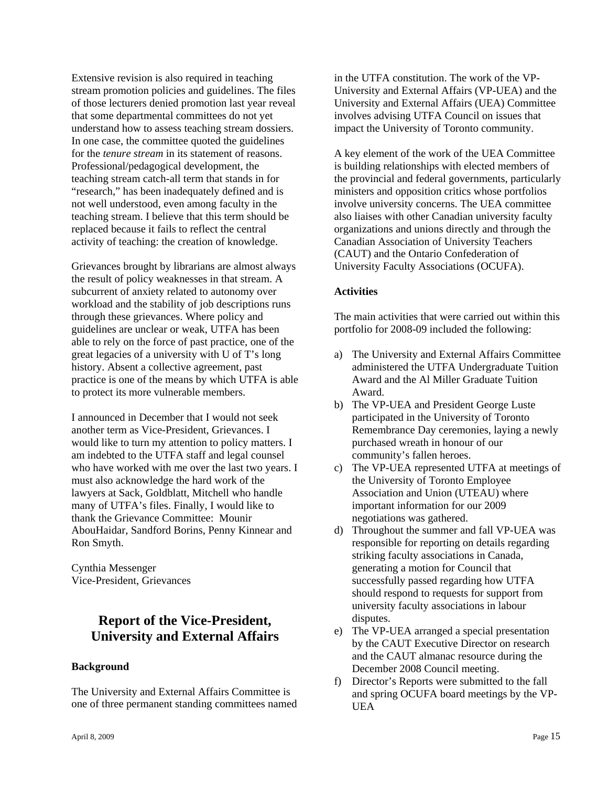Extensive revision is also required in teaching stream promotion policies and guidelines. The files of those lecturers denied promotion last year reveal that some departmental committees do not yet understand how to assess teaching stream dossiers. In one case, the committee quoted the guidelines for the *tenure stream* in its statement of reasons. Professional/pedagogical development, the teaching stream catch-all term that stands in for "research," has been inadequately defined and is not well understood, even among faculty in the teaching stream. I believe that this term should be replaced because it fails to reflect the central activity of teaching: the creation of knowledge.

Grievances brought by librarians are almost always the result of policy weaknesses in that stream. A subcurrent of anxiety related to autonomy over workload and the stability of job descriptions runs through these grievances. Where policy and guidelines are unclear or weak, UTFA has been able to rely on the force of past practice, one of the great legacies of a university with U of T's long history. Absent a collective agreement, past practice is one of the means by which UTFA is able to protect its more vulnerable members.

I announced in December that I would not seek another term as Vice-President, Grievances. I would like to turn my attention to policy matters. I am indebted to the UTFA staff and legal counsel who have worked with me over the last two years. I must also acknowledge the hard work of the lawyers at Sack, Goldblatt, Mitchell who handle many of UTFA's files. Finally, I would like to thank the Grievance Committee: Mounir AbouHaidar, Sandford Borins, Penny Kinnear and Ron Smyth.

Cynthia Messenger Vice-President, Grievances

## **Report of the Vice-President, University and External Affairs**

#### **Background**

The University and External Affairs Committee is one of three permanent standing committees named in the UTFA constitution. The work of the VP-University and External Affairs (VP-UEA) and the University and External Affairs (UEA) Committee involves advising UTFA Council on issues that impact the University of Toronto community.

A key element of the work of the UEA Committee is building relationships with elected members of the provincial and federal governments, particularly ministers and opposition critics whose portfolios involve university concerns. The UEA committee also liaises with other Canadian university faculty organizations and unions directly and through the Canadian Association of University Teachers (CAUT) and the Ontario Confederation of University Faculty Associations (OCUFA).

#### **Activities**

The main activities that were carried out within this portfolio for 2008-09 included the following:

- a) The University and External Affairs Committee administered the UTFA Undergraduate Tuition Award and the Al Miller Graduate Tuition Award.
- b) The VP-UEA and President George Luste participated in the University of Toronto Remembrance Day ceremonies, laying a newly purchased wreath in honour of our community's fallen heroes.
- c) The VP-UEA represented UTFA at meetings of the University of Toronto Employee Association and Union (UTEAU) where important information for our 2009 negotiations was gathered.
- d) Throughout the summer and fall VP-UEA was responsible for reporting on details regarding striking faculty associations in Canada, generating a motion for Council that successfully passed regarding how UTFA should respond to requests for support from university faculty associations in labour disputes.
- e) The VP-UEA arranged a special presentation by the CAUT Executive Director on research and the CAUT almanac resource during the December 2008 Council meeting.
- f) Director's Reports were submitted to the fall and spring OCUFA board meetings by the VP-UEA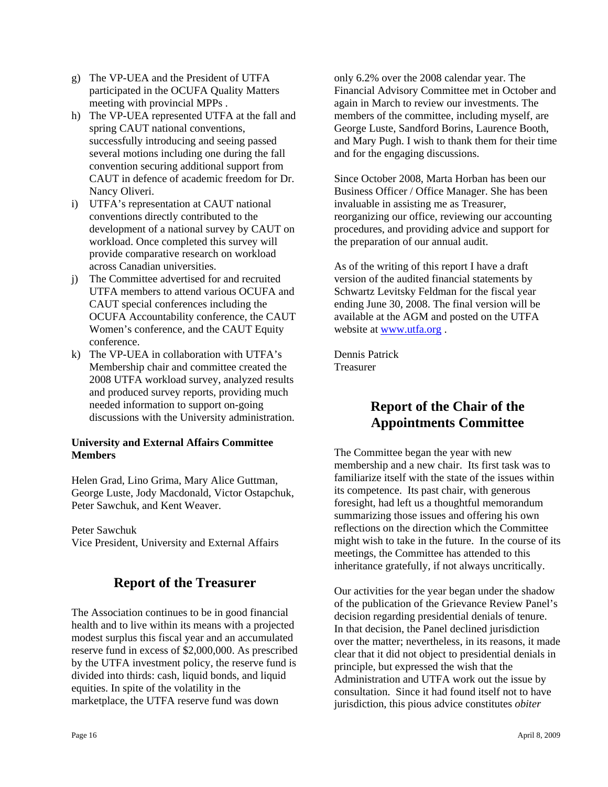- g) The VP-UEA and the President of UTFA participated in the OCUFA Quality Matters meeting with provincial MPPs .
- h) The VP-UEA represented UTFA at the fall and spring CAUT national conventions, successfully introducing and seeing passed several motions including one during the fall convention securing additional support from CAUT in defence of academic freedom for Dr. Nancy Oliveri.
- i) UTFA's representation at CAUT national conventions directly contributed to the development of a national survey by CAUT on workload. Once completed this survey will provide comparative research on workload across Canadian universities.
- j) The Committee advertised for and recruited UTFA members to attend various OCUFA and CAUT special conferences including the OCUFA Accountability conference, the CAUT Women's conference, and the CAUT Equity conference.
- k) The VP-UEA in collaboration with UTFA's Membership chair and committee created the 2008 UTFA workload survey, analyzed results and produced survey reports, providing much needed information to support on-going discussions with the University administration.

### **University and External Affairs Committee Members**

Helen Grad, Lino Grima, Mary Alice Guttman, George Luste, Jody Macdonald, Victor Ostapchuk, Peter Sawchuk, and Kent Weaver.

Peter Sawchuk Vice President, University and External Affairs

## **Report of the Treasurer**

The Association continues to be in good financial health and to live within its means with a projected modest surplus this fiscal year and an accumulated reserve fund in excess of \$2,000,000. As prescribed by the UTFA investment policy, the reserve fund is divided into thirds: cash, liquid bonds, and liquid equities. In spite of the volatility in the marketplace, the UTFA reserve fund was down

only 6.2% over the 2008 calendar year. The Financial Advisory Committee met in October and again in March to review our investments. The members of the committee, including myself, are George Luste, Sandford Borins, Laurence Booth, and Mary Pugh. I wish to thank them for their time and for the engaging discussions.

Since October 2008, Marta Horban has been our Business Officer / Office Manager. She has been invaluable in assisting me as Treasurer, reorganizing our office, reviewing our accounting procedures, and providing advice and support for the preparation of our annual audit.

As of the writing of this report I have a draft version of the audited financial statements by Schwartz Levitsky Feldman for the fiscal year ending June 30, 2008. The final version will be available at the AGM and posted on the UTFA website at www.utfa.org .

Dennis Patrick Treasurer

## **Report of the Chair of the Appointments Committee**

The Committee began the year with new membership and a new chair. Its first task was to familiarize itself with the state of the issues within its competence. Its past chair, with generous foresight, had left us a thoughtful memorandum summarizing those issues and offering his own reflections on the direction which the Committee might wish to take in the future. In the course of its meetings, the Committee has attended to this inheritance gratefully, if not always uncritically.

Our activities for the year began under the shadow of the publication of the Grievance Review Panel's decision regarding presidential denials of tenure. In that decision, the Panel declined jurisdiction over the matter; nevertheless, in its reasons, it made clear that it did not object to presidential denials in principle, but expressed the wish that the Administration and UTFA work out the issue by consultation. Since it had found itself not to have jurisdiction, this pious advice constitutes *obiter*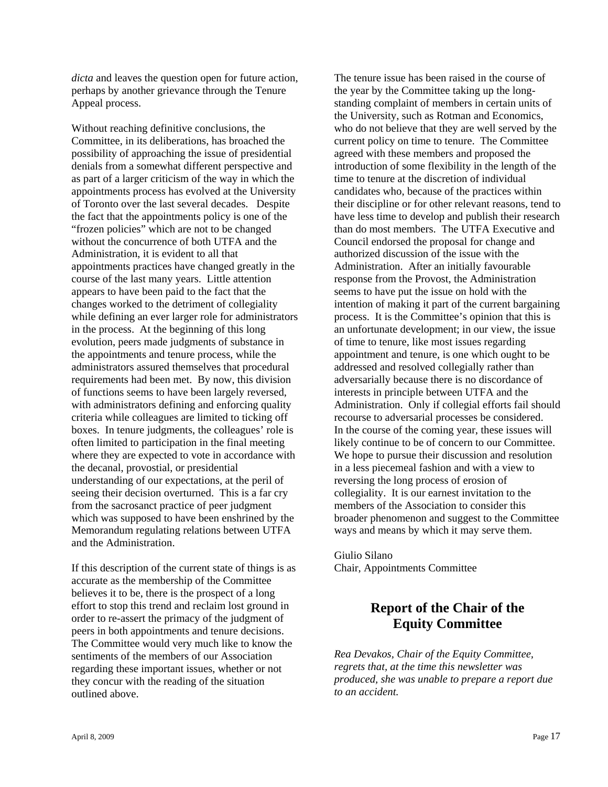*dicta* and leaves the question open for future action, perhaps by another grievance through the Tenure Appeal process.

Without reaching definitive conclusions, the Committee, in its deliberations, has broached the possibility of approaching the issue of presidential denials from a somewhat different perspective and as part of a larger criticism of the way in which the appointments process has evolved at the University of Toronto over the last several decades. Despite the fact that the appointments policy is one of the "frozen policies" which are not to be changed without the concurrence of both UTFA and the Administration, it is evident to all that appointments practices have changed greatly in the course of the last many years. Little attention appears to have been paid to the fact that the changes worked to the detriment of collegiality while defining an ever larger role for administrators in the process. At the beginning of this long evolution, peers made judgments of substance in the appointments and tenure process, while the administrators assured themselves that procedural requirements had been met. By now, this division of functions seems to have been largely reversed, with administrators defining and enforcing quality criteria while colleagues are limited to ticking off boxes. In tenure judgments, the colleagues' role is often limited to participation in the final meeting where they are expected to vote in accordance with the decanal, provostial, or presidential understanding of our expectations, at the peril of seeing their decision overturned. This is a far cry from the sacrosanct practice of peer judgment which was supposed to have been enshrined by the Memorandum regulating relations between UTFA and the Administration.

If this description of the current state of things is as accurate as the membership of the Committee believes it to be, there is the prospect of a long effort to stop this trend and reclaim lost ground in order to re-assert the primacy of the judgment of peers in both appointments and tenure decisions. The Committee would very much like to know the sentiments of the members of our Association regarding these important issues, whether or not they concur with the reading of the situation outlined above.

The tenure issue has been raised in the course of the year by the Committee taking up the longstanding complaint of members in certain units of the University, such as Rotman and Economics, who do not believe that they are well served by the current policy on time to tenure. The Committee agreed with these members and proposed the introduction of some flexibility in the length of the time to tenure at the discretion of individual candidates who, because of the practices within their discipline or for other relevant reasons, tend to have less time to develop and publish their research than do most members. The UTFA Executive and Council endorsed the proposal for change and authorized discussion of the issue with the Administration. After an initially favourable response from the Provost, the Administration seems to have put the issue on hold with the intention of making it part of the current bargaining process. It is the Committee's opinion that this is an unfortunate development; in our view, the issue of time to tenure, like most issues regarding appointment and tenure, is one which ought to be addressed and resolved collegially rather than adversarially because there is no discordance of interests in principle between UTFA and the Administration. Only if collegial efforts fail should recourse to adversarial processes be considered. In the course of the coming year, these issues will likely continue to be of concern to our Committee. We hope to pursue their discussion and resolution in a less piecemeal fashion and with a view to reversing the long process of erosion of collegiality. It is our earnest invitation to the members of the Association to consider this broader phenomenon and suggest to the Committee ways and means by which it may serve them.

Giulio Silano Chair, Appointments Committee

## **Report of the Chair of the Equity Committee**

*Rea Devakos, Chair of the Equity Committee, regrets that, at the time this newsletter was produced, she was unable to prepare a report due to an accident.*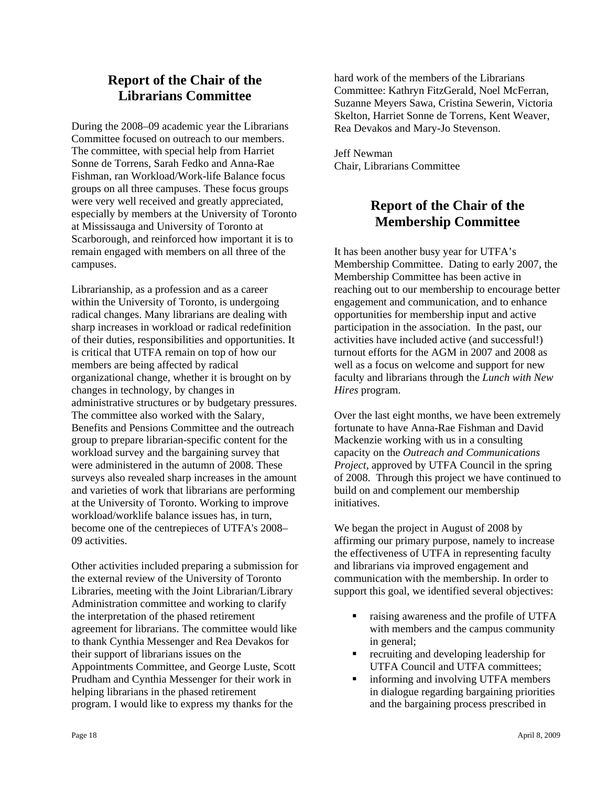## **Report of the Chair of the Librarians Committee**

During the 2008–09 academic year the Librarians Committee focused on outreach to our members. The committee, with special help from Harriet Sonne de Torrens, Sarah Fedko and Anna-Rae Fishman, ran Workload/Work-life Balance focus groups on all three campuses. These focus groups were very well received and greatly appreciated, especially by members at the University of Toronto at Mississauga and University of Toronto at Scarborough, and reinforced how important it is to remain engaged with members on all three of the campuses.

Librarianship, as a profession and as a career within the University of Toronto, is undergoing radical changes. Many librarians are dealing with sharp increases in workload or radical redefinition of their duties, responsibilities and opportunities. It is critical that UTFA remain on top of how our members are being affected by radical organizational change, whether it is brought on by changes in technology, by changes in administrative structures or by budgetary pressures. The committee also worked with the Salary, Benefits and Pensions Committee and the outreach group to prepare librarian-specific content for the workload survey and the bargaining survey that were administered in the autumn of 2008. These surveys also revealed sharp increases in the amount and varieties of work that librarians are performing at the University of Toronto. Working to improve workload/worklife balance issues has, in turn, become one of the centrepieces of UTFA's 2008– 09 activities.

Other activities included preparing a submission for the external review of the University of Toronto Libraries, meeting with the Joint Librarian/Library Administration committee and working to clarify the interpretation of the phased retirement agreement for librarians. The committee would like to thank Cynthia Messenger and Rea Devakos for their support of librarians issues on the Appointments Committee, and George Luste, Scott Prudham and Cynthia Messenger for their work in helping librarians in the phased retirement program. I would like to express my thanks for the

hard work of the members of the Librarians Committee: Kathryn FitzGerald, Noel McFerran, Suzanne Meyers Sawa, Cristina Sewerin, Victoria Skelton, Harriet Sonne de Torrens, Kent Weaver, Rea Devakos and Mary-Jo Stevenson.

Jeff Newman Chair, Librarians Committee

## **Report of the Chair of the Membership Committee**

It has been another busy year for UTFA's Membership Committee. Dating to early 2007, the Membership Committee has been active in reaching out to our membership to encourage better engagement and communication, and to enhance opportunities for membership input and active participation in the association. In the past, our activities have included active (and successful!) turnout efforts for the AGM in 2007 and 2008 as well as a focus on welcome and support for new faculty and librarians through the *Lunch with New Hires* program.

Over the last eight months, we have been extremely fortunate to have Anna-Rae Fishman and David Mackenzie working with us in a consulting capacity on the *Outreach and Communications Project*, approved by UTFA Council in the spring of 2008. Through this project we have continued to build on and complement our membership initiatives.

We began the project in August of 2008 by affirming our primary purpose, namely to increase the effectiveness of UTFA in representing faculty and librarians via improved engagement and communication with the membership. In order to support this goal, we identified several objectives:

- raising awareness and the profile of UTFA with members and the campus community in general;
- recruiting and developing leadership for UTFA Council and UTFA committees;
- **i** informing and involving UTFA members in dialogue regarding bargaining priorities and the bargaining process prescribed in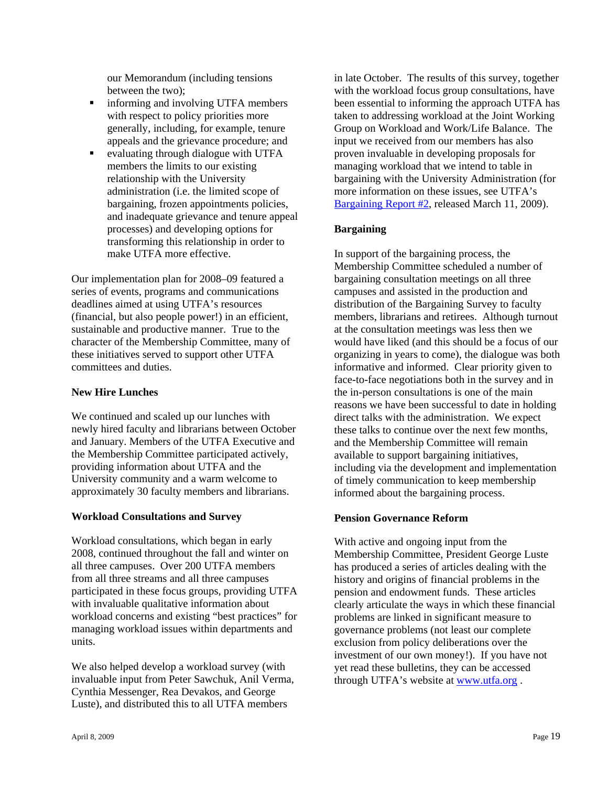our Memorandum (including tensions between the two);

- informing and involving UTFA members with respect to policy priorities more generally, including, for example, tenure appeals and the grievance procedure; and
- evaluating through dialogue with UTFA members the limits to our existing relationship with the University administration (i.e. the limited scope of bargaining, frozen appointments policies, and inadequate grievance and tenure appeal processes) and developing options for transforming this relationship in order to make UTFA more effective.

Our implementation plan for 2008–09 featured a series of events, programs and communications deadlines aimed at using UTFA's resources (financial, but also people power!) in an efficient, sustainable and productive manner. True to the character of the Membership Committee, many of these initiatives served to support other UTFA committees and duties.

## **New Hire Lunches**

We continued and scaled up our lunches with newly hired faculty and librarians between October and January. Members of the UTFA Executive and the Membership Committee participated actively, providing information about UTFA and the University community and a warm welcome to approximately 30 faculty members and librarians.

## **Workload Consultations and Survey**

Workload consultations, which began in early 2008, continued throughout the fall and winter on all three campuses. Over 200 UTFA members from all three streams and all three campuses participated in these focus groups, providing UTFA with invaluable qualitative information about workload concerns and existing "best practices" for managing workload issues within departments and units.

We also helped develop a workload survey (with invaluable input from Peter Sawchuk, Anil Verma, Cynthia Messenger, Rea Devakos, and George Luste), and distributed this to all UTFA members

in late October. The results of this survey, together with the workload focus group consultations, have been essential to informing the approach UTFA has taken to addressing workload at the Joint Working Group on Workload and Work/Life Balance. The input we received from our members has also proven invaluable in developing proposals for managing workload that we intend to table in bargaining with the University Administration (for more information on these issues, see UTFA's Bargaining Report #2, released March 11, 2009).

## **Bargaining**

In support of the bargaining process, the Membership Committee scheduled a number of bargaining consultation meetings on all three campuses and assisted in the production and distribution of the Bargaining Survey to faculty members, librarians and retirees. Although turnout at the consultation meetings was less then we would have liked (and this should be a focus of our organizing in years to come), the dialogue was both informative and informed. Clear priority given to face-to-face negotiations both in the survey and in the in-person consultations is one of the main reasons we have been successful to date in holding direct talks with the administration. We expect these talks to continue over the next few months, and the Membership Committee will remain available to support bargaining initiatives, including via the development and implementation of timely communication to keep membership informed about the bargaining process.

## **Pension Governance Reform**

With active and ongoing input from the Membership Committee, President George Luste has produced a series of articles dealing with the history and origins of financial problems in the pension and endowment funds. These articles clearly articulate the ways in which these financial problems are linked in significant measure to governance problems (not least our complete exclusion from policy deliberations over the investment of our own money!). If you have not yet read these bulletins, they can be accessed through UTFA's website at www.utfa.org .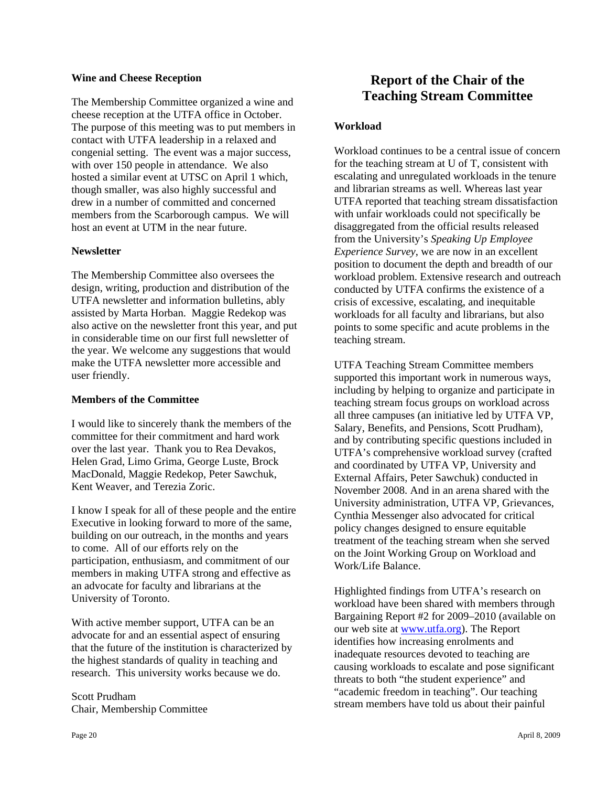#### **Wine and Cheese Reception**

The Membership Committee organized a wine and cheese reception at the UTFA office in October. The purpose of this meeting was to put members in contact with UTFA leadership in a relaxed and congenial setting. The event was a major success, with over 150 people in attendance. We also hosted a similar event at UTSC on April 1 which, though smaller, was also highly successful and drew in a number of committed and concerned members from the Scarborough campus. We will host an event at UTM in the near future.

#### **Newsletter**

The Membership Committee also oversees the design, writing, production and distribution of the UTFA newsletter and information bulletins, ably assisted by Marta Horban. Maggie Redekop was also active on the newsletter front this year, and put in considerable time on our first full newsletter of the year. We welcome any suggestions that would make the UTFA newsletter more accessible and user friendly.

#### **Members of the Committee**

I would like to sincerely thank the members of the committee for their commitment and hard work over the last year. Thank you to Rea Devakos, Helen Grad, Limo Grima, George Luste, Brock MacDonald, Maggie Redekop, Peter Sawchuk, Kent Weaver, and Terezia Zoric.

I know I speak for all of these people and the entire Executive in looking forward to more of the same, building on our outreach, in the months and years to come. All of our efforts rely on the participation, enthusiasm, and commitment of our members in making UTFA strong and effective as an advocate for faculty and librarians at the University of Toronto.

With active member support, UTFA can be an advocate for and an essential aspect of ensuring that the future of the institution is characterized by the highest standards of quality in teaching and research. This university works because we do.

Scott Prudham Chair, Membership Committee

## **Workload**

Workload continues to be a central issue of concern for the teaching stream at U of T, consistent with escalating and unregulated workloads in the tenure and librarian streams as well. Whereas last year UTFA reported that teaching stream dissatisfaction with unfair workloads could not specifically be disaggregated from the official results released from the University's *Speaking Up Employee Experience Survey*, we are now in an excellent position to document the depth and breadth of our workload problem. Extensive research and outreach conducted by UTFA confirms the existence of a crisis of excessive, escalating, and inequitable workloads for all faculty and librarians, but also points to some specific and acute problems in the teaching stream.

UTFA Teaching Stream Committee members supported this important work in numerous ways, including by helping to organize and participate in teaching stream focus groups on workload across all three campuses (an initiative led by UTFA VP, Salary, Benefits, and Pensions, Scott Prudham), and by contributing specific questions included in UTFA's comprehensive workload survey (crafted and coordinated by UTFA VP, University and External Affairs, Peter Sawchuk) conducted in November 2008. And in an arena shared with the University administration, UTFA VP, Grievances, Cynthia Messenger also advocated for critical policy changes designed to ensure equitable treatment of the teaching stream when she served on the Joint Working Group on Workload and Work/Life Balance.

Highlighted findings from UTFA's research on workload have been shared with members through Bargaining Report #2 for 2009–2010 (available on our web site at www.utfa.org). The Report identifies how increasing enrolments and inadequate resources devoted to teaching are causing workloads to escalate and pose significant threats to both "the student experience" and "academic freedom in teaching". Our teaching stream members have told us about their painful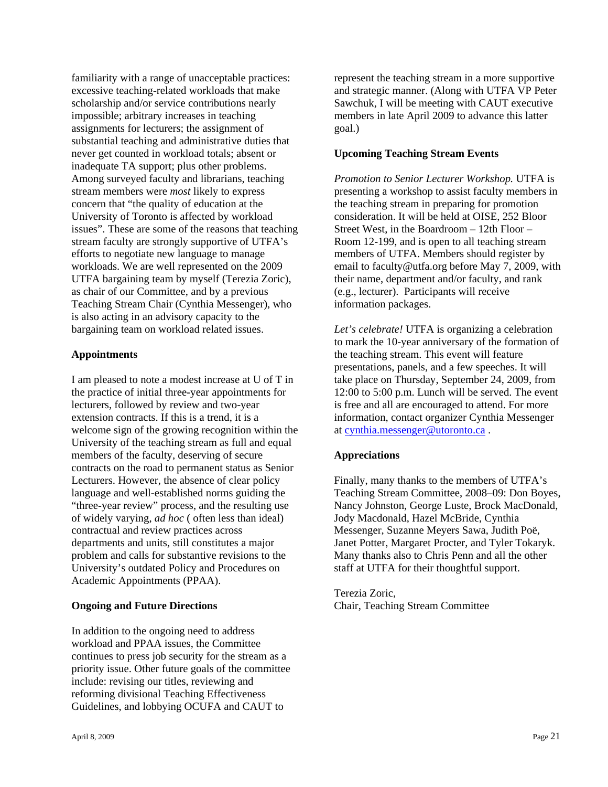familiarity with a range of unacceptable practices: excessive teaching-related workloads that make scholarship and/or service contributions nearly impossible; arbitrary increases in teaching assignments for lecturers; the assignment of substantial teaching and administrative duties that never get counted in workload totals; absent or inadequate TA support; plus other problems. Among surveyed faculty and librarians, teaching stream members were *most* likely to express concern that "the quality of education at the University of Toronto is affected by workload issues". These are some of the reasons that teaching stream faculty are strongly supportive of UTFA's efforts to negotiate new language to manage workloads. We are well represented on the 2009 UTFA bargaining team by myself (Terezia Zoric), as chair of our Committee, and by a previous Teaching Stream Chair (Cynthia Messenger), who is also acting in an advisory capacity to the bargaining team on workload related issues.

### **Appointments**

I am pleased to note a modest increase at U of T in the practice of initial three-year appointments for lecturers, followed by review and two-year extension contracts. If this is a trend, it is a welcome sign of the growing recognition within the University of the teaching stream as full and equal members of the faculty, deserving of secure contracts on the road to permanent status as Senior Lecturers. However, the absence of clear policy language and well-established norms guiding the "three-year review" process, and the resulting use of widely varying, *ad hoc* ( often less than ideal) contractual and review practices across departments and units, still constitutes a major problem and calls for substantive revisions to the University's outdated Policy and Procedures on Academic Appointments (PPAA).

#### **Ongoing and Future Directions**

In addition to the ongoing need to address workload and PPAA issues, the Committee continues to press job security for the stream as a priority issue. Other future goals of the committee include: revising our titles, reviewing and reforming divisional Teaching Effectiveness Guidelines, and lobbying OCUFA and CAUT to

represent the teaching stream in a more supportive and strategic manner. (Along with UTFA VP Peter Sawchuk, I will be meeting with CAUT executive members in late April 2009 to advance this latter goal.)

## **Upcoming Teaching Stream Events**

*Promotion to Senior Lecturer Workshop.* UTFA is presenting a workshop to assist faculty members in the teaching stream in preparing for promotion consideration. It will be held at OISE, 252 Bloor Street West, in the Boardroom – 12th Floor – Room 12-199, and is open to all teaching stream members of UTFA. Members should register by email to faculty@utfa.org before May 7, 2009, with their name, department and/or faculty, and rank (e.g., lecturer). Participants will receive information packages.

*Let's celebrate!* UTFA is organizing a celebration to mark the 10-year anniversary of the formation of the teaching stream. This event will feature presentations, panels, and a few speeches. It will take place on Thursday, September 24, 2009, from 12:00 to 5:00 p.m. Lunch will be served. The event is free and all are encouraged to attend. For more information, contact organizer Cynthia Messenger at cynthia.messenger@utoronto.ca .

## **Appreciations**

Finally, many thanks to the members of UTFA's Teaching Stream Committee, 2008–09: Don Boyes, Nancy Johnston, George Luste, Brock MacDonald, Jody Macdonald, Hazel McBride, Cynthia Messenger, Suzanne Meyers Sawa, Judith Poë, Janet Potter, Margaret Procter, and Tyler Tokaryk. Many thanks also to Chris Penn and all the other staff at UTFA for their thoughtful support.

Terezia Zoric, Chair, Teaching Stream Committee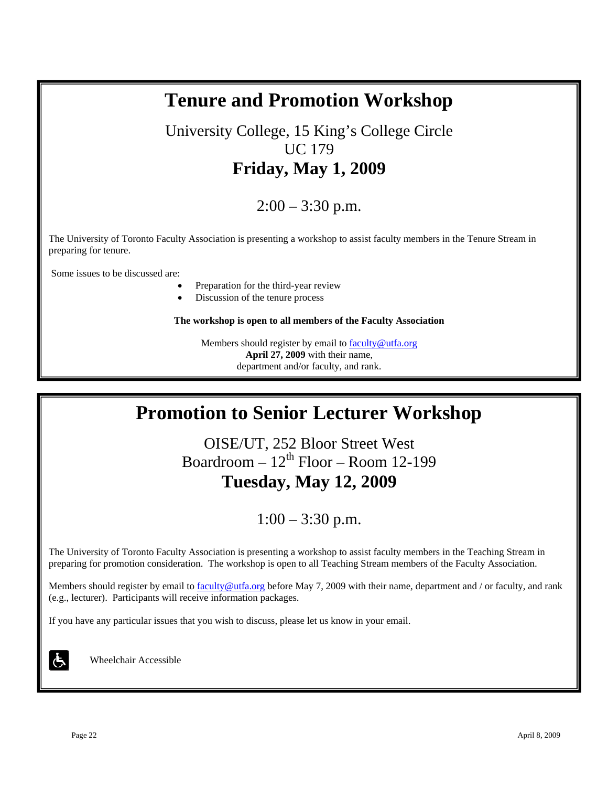## University College, 15 King's College Circle UC 179 **Friday, May 1, 2009**   $2:00 - 3:30$  p.m. The University of Toronto Faculty Association is presenting a workshop to assist faculty members in the Tenure Stream in preparing for tenure. Some issues to be discussed are: Preparation for the third-year review Discussion of the tenure process **The workshop is open to all members of the Faculty Association**  Members should register by email to faculty@utfa.org **April 27, 2009** with their name, department and/or faculty, and rank.

**Tenure and Promotion Workshop**

# **Promotion to Senior Lecturer Workshop**

OISE/UT, 252 Bloor Street West Boardroom –  $12<sup>th</sup>$  Floor – Room 12-199 **Tuesday, May 12, 2009** 

## $1:00 - 3:30$  p.m.

The University of Toronto Faculty Association is presenting a workshop to assist faculty members in the Teaching Stream in preparing for promotion consideration. The workshop is open to all Teaching Stream members of the Faculty Association.

Members should register by email to faculty@utfa.org before May 7, 2009 with their name, department and / or faculty, and rank (e.g., lecturer). Participants will receive information packages.

If you have any particular issues that you wish to discuss, please let us know in your email.

Wheelchair Accessible

Ġ